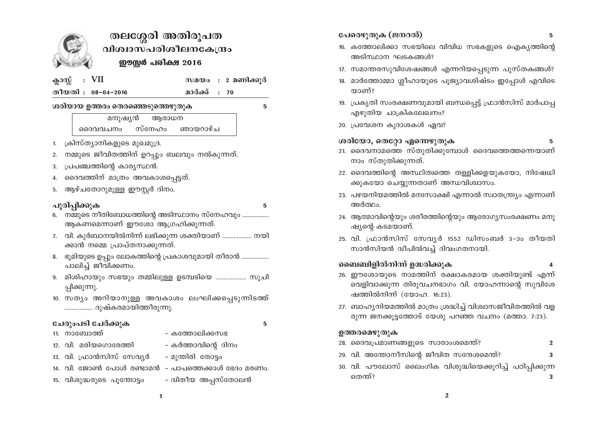

# തലശ്ശേരി അതിരൂപത വിശ്വാസപരിശീലനകേന്ദ്രം ഈസ്റ്റർ പരീക്ഷ 2016

ക്ലാസ്സ് VII

സമയം : 2 മണിക്കുർ

തീയതി : 08-04-2016

മാർക്ക് : 70

ശരിയായ ഉത്തരം തെരഞ്ഞെടുത്തെഴുതുക

 $\overline{a}$ 

മനുഷ്യൻ ആരാധന ദൈവവചനം സ്നേഹം ഞായറാഴ്ച

- ക്രിസ്ത്യാനികളുടെ മുഖമുദ്ര. 1.
- നമ്മുടെ ജീവിതത്തിന് ഉറപ്പും ബലവും നൽകുന്നത്. 2.
- പ്രപഞ്ചത്തിന്റെ കാര്യസ്ഥൻ. 3.
- ദൈവത്തിന് മാത്രം അവകാശപ്പെട്ടത്.  $\boldsymbol{\Lambda}$
- ആഴ്ചതോറുമുള്ള ഈസ്റ്റർ ദിനം. 5.

## പൂരിപ്പിക്കുക

- 6. നമ്മുടെ നീതിബോധത്തിന്റെ അടിസ്ഥാനം സ്നേഹവും ................ ആകണമെന്നാണ് ഈശോ ആഗ്രഹിക്കുന്നത്.
- 7. വി. കുർബാനയിൽനിന്ന് ലഭിക്കുന്ന ശക്തിയാണ് .................. നയി ക്കാൻ നമ്മെ പ്രാപ്തനാക്കുന്നത്.
- 8. ഭുമിയുടെ ഉപ്പും ലോകത്തിന്റെ പ്രകാശവുമായി തീരാൻ ................. പാലിച്ച് ജീവിക്കണം.
- 9. മിശിഹായും സഭയും തമ്മിലുള്ള ഉടമ്പടിയെ .................. സൂചി പ്പിക്കുന്നു.
- 10. സത്യം അറിയാനുള്ള അവകാശം ലംഘിക്കപ്പെടുന്നിടത്ത് ................. ദുഷ്കരമായിത്തീരുന്നു.

### ചേരുംപടി ചേർക്കുക

11. നാബോത്ത്

5

- 12. വി. മരിയഗൊരേത്തി – കർത്താവിന്റെ ദിനം
- 13. വി. ഫ്രാൻസിസ് സേവ്യർ - മുന്തിരി തോട്ടം

– കത്തോലിക്കസഭ

- 14. വി. ജോൺ പോൾ രണ്ടാമൻ പാപത്തെക്കാൾ ഭേദം മരണം.
- ദ്വിതീയ അപ്പസ്തോലൻ 15. വിശുദ്ധരുടെ പുന്തോട്ടം
- പേരെഴുതുക (ജനറൽ)
- 16. കത്തോലിക്കാ സഭയിലെ വിവിധ സഭകളുടെ ഐക്യത്തിന്റെ അടിസ്ഥാന ഘടകങ്ങൾ?
- 17. സമാന്തരസുവിശേഷങ്ങൾ എന്നറിയപ്പെടുന്ന പുസ്തകങ്ങൾ?
- 18. മാർത്തോമ്മാ ശ്ലീഹായുടെ പുജ്യാവശിഷ്ടം ഇപ്പോൾ എവിടെ താണ്?
- 19. പ്രകൃതി സംരക്ഷണവുമായി ബന്ധപ്പെട്ട് ഫ്രാൻസിസ് മാർപാപ്പ എഴുതിയ ചാക്രികലേഖനം?
- 20. പ്രവേശന കുദാശകൾ ഏവ?
- ശരിയോ, തെറ്റോ എന്നെഴുതുക 5
- 21. ദൈവനാമത്തെ സ്തുതിക്കുമ്പോൾ ദൈവത്തെത്തന്നെയാണ് നാം സ്തുതിക്കുന്നത്.
- 22. ദൈവത്തിന്റെ അസ്ഥിത്വത്തെ തള്ളിക്കളയുകയോ, നിഷേധി ക്കുകയോ ചെയ്യുന്നതാണ് അന്ധവിശ്വാസം.
- 23. പഴയനിയമത്തിൽ മനഃസാക്ഷി എന്നാൽ സ്വാതന്ത്ര്യം എന്നാണ് അർത്ഥം.
- 24. ആത്മാവിന്റെയും ശരീരത്തിന്റെയും ആരോഗ്യസംരക്ഷണം മനു ഷ്യന്റെ കടമയാണ്.
- 25. വി. ഫ്രാൻസിസ് സേവൃർ 1552 ഡിസംബർ 3–ാം തീയതി സാൻസിയൻ ദ്വീപിൽവച്ച് ദിവംഗതനായി.

### ബൈബിളിൽനിന്ന് ഉദ്ധരിക്കുക

- 
- 26. ഈശോയുടെ നാമത്തിന് രക്ഷാകരമായ ശക്തിയുണ്ട് എന്ന് വെളിവാക്കുന്ന തിരുവചനഭാഗം വി. യോഹന്നാന്റെ സുവിശേ ഷത്തിൽനിന്ന് (യോഹ. 16:23).
- 27. ബാഹ്യനിയമത്തിൽ മാത്രം ശ്രദ്ധിച്ച് വിശ്വാസജീവിതത്തിൽ വള രുന്ന ജനക്കുട്ടത്തോട് യേശു പറഞ്ഞ വചനം (മത്താ. 7:23).

#### ഉത്തരമെഴുതുക

- 28. ദൈവപ്രമാണങ്ങളുടെ സാരാംശമെന്ത്?  $\overline{2}$
- 29. വി. അന്തോനീസിന്റെ ജീവിത സന്ദേശമെന്ത്? 3
- 30. വി. പൗലോസ് ലൈംഗിക വിശുദ്ധിയെക്കുറിച്ച് പഠിപ്പിക്കുന്ന തെന്ത്? 3

5